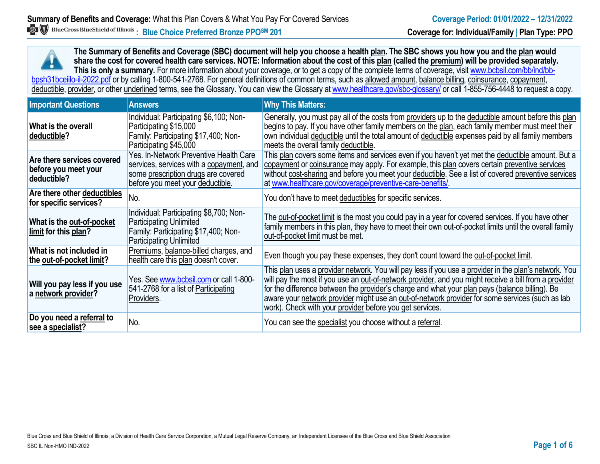**The Summary of Benefits and Coverage (SBC) document will help you choose a health plan. The SBC shows you how you and the plan would share the cost for covered health care services. NOTE: Information about the cost of this plan (called the premium) will be provided separately.** This is only a summary. For more information about your coverage, or to get a copy of the complete terms of coverage, visit www.bcbsil.com/bb/ind/bbbpsh31bceiilo-il-2022.pdf or by calling 1-800-541-2768. For general definitions of common terms, such as allowed amount, balance billing, coinsurance, copayment, deductible, provider, or other underlined terms, see the Glossary. You can view the Glossary a[t www.healthcare.gov/sbc-glossary/](http://www.healthcare.gov/sbc-glossary/) or call 1-855-756-4448 to request a copy.

| <b>Important Questions</b>                                        | <b>Answers</b>                                                                                                                                                | <b>Why This Matters:</b>                                                                                                                                                                                                                                                                                                                                                                                                                                                        |
|-------------------------------------------------------------------|---------------------------------------------------------------------------------------------------------------------------------------------------------------|---------------------------------------------------------------------------------------------------------------------------------------------------------------------------------------------------------------------------------------------------------------------------------------------------------------------------------------------------------------------------------------------------------------------------------------------------------------------------------|
| What is the overall<br>deductible?                                | Individual: Participating \$6,100; Non-<br>Participating \$15,000<br>Family: Participating \$17,400; Non-<br>Participating \$45,000                           | Generally, you must pay all of the costs from providers up to the deductible amount before this plan<br>begins to pay. If you have other family members on the plan, each family member must meet their<br>own individual deductible until the total amount of deductible expenses paid by all family members<br>meets the overall family deductible.                                                                                                                           |
| Are there services covered<br>before you meet your<br>deductible? | Yes. In-Network Preventive Health Care<br>services, services with a copayment, and<br>some prescription drugs are covered<br>before you meet your deductible. | This plan covers some items and services even if you haven't yet met the deductible amount. But a<br>copayment or coinsurance may apply. For example, this plan covers certain preventive services<br>without cost-sharing and before you meet your deductible. See a list of covered preventive services<br>at www.healthcare.gov/coverage/preventive-care-benefits/                                                                                                           |
| Are there other deductibles<br>for specific services?             | No.                                                                                                                                                           | You don't have to meet deductibles for specific services.                                                                                                                                                                                                                                                                                                                                                                                                                       |
| What is the out-of-pocket<br>limit for this plan?                 | Individual: Participating \$8,700; Non-<br><b>Participating Unlimited</b><br>Family: Participating \$17,400; Non-<br><b>Participating Unlimited</b>           | The out-of-pocket limit is the most you could pay in a year for covered services. If you have other<br>family members in this plan, they have to meet their own out-of-pocket limits until the overall family<br>out-of-pocket limit must be met.                                                                                                                                                                                                                               |
| What is not included in<br>the out-of-pocket limit?               | Premiums, balance-billed charges, and<br>health care this plan doesn't cover.                                                                                 | Even though you pay these expenses, they don't count toward the out-of-pocket limit.                                                                                                                                                                                                                                                                                                                                                                                            |
| Will you pay less if you use<br>a network provider?               | Yes. See www.bcbsil.com or call 1-800-<br>541-2768 for a list of Participating<br>Providers.                                                                  | This plan uses a provider network. You will pay less if you use a provider in the plan's network. You<br>will pay the most if you use an out-of-network provider, and you might receive a bill from a provider<br>for the difference between the provider's charge and what your plan pays (balance billing). Be<br>aware your network provider might use an out-of-network provider for some services (such as lab<br>work). Check with your provider before you get services. |
| Do you need a referral to<br>see a specialist?                    | No.                                                                                                                                                           | You can see the specialist you choose without a referral.                                                                                                                                                                                                                                                                                                                                                                                                                       |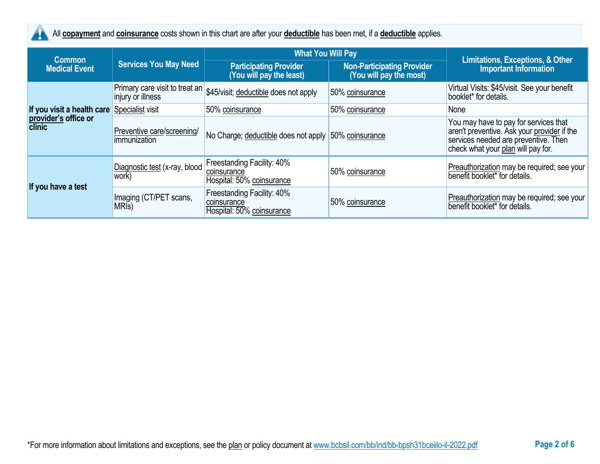

All **copayment** and **coinsurance** costs shown in this chart are after your **deductible** has been met, if a **deductible** applies.

|                                       |                                                     | <b>What You Will Pay</b>                                               |                                                              |                                                                                                                                                                    |
|---------------------------------------|-----------------------------------------------------|------------------------------------------------------------------------|--------------------------------------------------------------|--------------------------------------------------------------------------------------------------------------------------------------------------------------------|
| <b>Common</b><br><b>Medical Event</b> | <b>Services You May Need</b>                        | <b>Participating Provider</b><br>(You will pay the least)              | <b>Non-Participating Provider</b><br>(You will pay the most) | <b>Limitations, Exceptions, &amp; Other</b><br><b>Important Information</b>                                                                                        |
|                                       | Primary care visit to treat an<br>injury or illness | \$45/visit; deductible does not apply                                  | 50% coinsurance                                              | Virtual Visits: \$45/visit. See your benefit<br>booklet* for details.                                                                                              |
| If you visit a health care            | Specialist visit                                    | 50% coinsurance                                                        | 50% coinsurance                                              | None                                                                                                                                                               |
| provider's office or<br>clinic        | Preventive care/screening/<br>immunization          | No Charge; deductible does not apply 50% coinsurance                   |                                                              | You may have to pay for services that<br>aren't preventive. Ask your provider if the<br>services needed are preventive. Then<br>check what your plan will pay for. |
| If you have a test                    | Diagnostic test (x-ray, blood<br>work)              | Freestanding Facility: 40%<br>coinsurance<br>Hospital: 50% coinsurance | 50% coinsurance                                              | Preauthorization may be required; see your<br>benefit booklet* for details.                                                                                        |
|                                       | Imaging (CT/PET scans,<br>MRI <sub>s</sub> )        | Freestanding Facility: 40%<br>coinsurance<br>Hospital: 50% coinsurance | 50% coinsurance                                              | Preauthorization may be required; see your<br>benefit booklet <sup>*</sup> for details.                                                                            |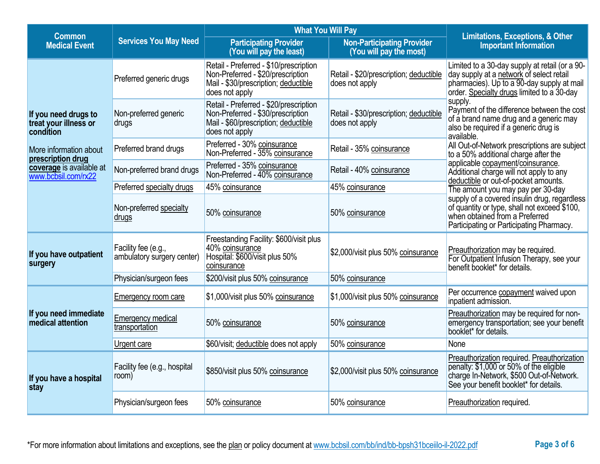| <b>Common</b>                                              |                                                   | <b>What You Will Pay</b><br><b>Non-Participating Provider</b><br><b>Participating Provider</b><br>(You will pay the least)<br>(You will pay the most) |                                                          | <b>Limitations, Exceptions, &amp; Other</b><br><b>Important Information</b>                                                                                                            |  |
|------------------------------------------------------------|---------------------------------------------------|-------------------------------------------------------------------------------------------------------------------------------------------------------|----------------------------------------------------------|----------------------------------------------------------------------------------------------------------------------------------------------------------------------------------------|--|
| <b>Medical Event</b>                                       | <b>Services You May Need</b>                      |                                                                                                                                                       |                                                          |                                                                                                                                                                                        |  |
|                                                            | Preferred generic drugs                           | Retail - Preferred - \$10/prescription<br>Non-Preferred - \$20/prescription<br>Mail - \$30/prescription; deductible<br>does not apply                 | Retail - \$20/prescription; deductible<br>does not apply | Limited to a 30-day supply at retail (or a 90-<br>day supply at a network of select retail<br>pharmacies). Up to a 90-day supply at mail<br>order. Specialty drugs limited to a 30-day |  |
| If you need drugs to<br>treat your illness or<br>condition | Non-preferred generic<br>drugs                    | Retail - Preferred - \$20/prescription<br>Non-Preferred - \$30/prescription<br>Mail - \$60/prescription; deductible<br>does not apply                 | Retail - \$30/prescription; deductible<br>does not apply | supply.<br>Payment of the difference between the cost<br>of a brand name drug and a generic may<br>also be required if a generic drug is<br>available.                                 |  |
| More information about<br>prescription drug                | Preferred brand drugs                             | Preferred - 30% coinsurance<br>Non-Preferred - 35% coinsurance                                                                                        | Retail - 35% coinsurance                                 | All Out-of-Network prescriptions are subject<br>to a 50% additional charge after the                                                                                                   |  |
| coverage is available at<br>www.bcbsil.com/rx22            | Non-preferred brand drugs                         | Preferred - 35% coinsurance<br>Non-Preferred - 40% coinsurance                                                                                        | Retail - 40% coinsurance                                 | applicable copayment/coinsurance.<br>Additional charge will not apply to any<br>deductible or out-of-pocket amounts.                                                                   |  |
|                                                            | Preferred specialty drugs                         | 45% coinsurance                                                                                                                                       | 45% coinsurance                                          | The amount you may pay per 30-day                                                                                                                                                      |  |
|                                                            | Non-preferred specialty<br>drugs                  | 50% coinsurance                                                                                                                                       | 50% coinsurance                                          | supply of a covered insulin drug, regardless<br>of quantity or type, shall not exceed \$100,<br>when obtained from a Preferred<br>Participating or Participating Pharmacy.             |  |
| If you have outpatient<br>surgery                          | Facility fee (e.g.,<br>ambulatory surgery center) | Freestanding Facility: \$600/visit plus<br>40% coinsurance<br>Hospital: \$600/visit plus 50%<br>coinsurance                                           | \$2,000/visit plus 50% coinsurance                       | Preauthorization may be required.<br>For Outpatient Infusion Therapy, see your<br>benefit booklet* for details.                                                                        |  |
|                                                            | Physician/surgeon fees                            | \$200/visit plus 50% coinsurance                                                                                                                      | 50% coinsurance                                          |                                                                                                                                                                                        |  |
|                                                            | <b>Emergency room care</b>                        | \$1,000/visit plus 50% coinsurance                                                                                                                    | \$1,000/visit plus 50% coinsurance                       | Per occurrence copayment waived upon<br>inpatient admission.                                                                                                                           |  |
| If you need immediate<br>medical attention                 | <b>Emergency medical</b><br>transportation        | 50% coinsurance                                                                                                                                       | 50% coinsurance                                          | Preauthorization may be required for non-<br>emergency transportation; see your benefit<br>booklet* for details.                                                                       |  |
|                                                            | Urgent care                                       | \$60/visit; deductible does not apply                                                                                                                 | 50% coinsurance                                          | None                                                                                                                                                                                   |  |
| If you have a hospital<br>stay                             | Facility fee (e.g., hospital<br>room)             | \$850/visit plus 50% coinsurance                                                                                                                      | \$2,000/visit plus 50% coinsurance                       | Preauthorization required. Preauthorization<br>penalty: \$1,000 or 50% of the eligible<br>charge In-Network, \$500 Out-of-Network.<br>See your benefit booklet* for details.           |  |
|                                                            | Physician/surgeon fees                            | 50% coinsurance                                                                                                                                       | 50% coinsurance                                          | Preauthorization required.                                                                                                                                                             |  |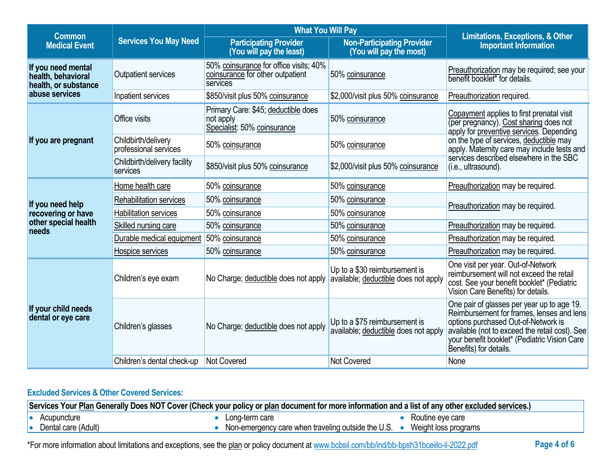| <b>Common</b>                                                    |                                              | <b>What You Will Pay</b>                                                               |                                                                       |                                                                                                                                                                                                                                                            |
|------------------------------------------------------------------|----------------------------------------------|----------------------------------------------------------------------------------------|-----------------------------------------------------------------------|------------------------------------------------------------------------------------------------------------------------------------------------------------------------------------------------------------------------------------------------------------|
| <b>Services You May Need</b><br><b>Medical Event</b>             |                                              | <b>Participating Provider</b><br>(You will pay the least)                              | <b>Non-Participating Provider</b><br>(You will pay the most)          | <b>Limitations, Exceptions, &amp; Other</b><br><b>Important Information</b>                                                                                                                                                                                |
| If you need mental<br>health, behavioral<br>health, or substance | Outpatient services                          | 50% coinsurance for office visits; 40%<br>coinsurance for other outpatient<br>services | 50% coinsurance                                                       | Preauthorization may be required; see your<br>benefit booklet* for details.                                                                                                                                                                                |
| abuse services                                                   | Inpatient services                           | \$850/visit plus 50% coinsurance                                                       | \$2,000/visit plus 50% coinsurance                                    | Preauthorization required.                                                                                                                                                                                                                                 |
|                                                                  | Office visits                                | Primary Care: \$45; deductible does<br>not apply<br>Specialist: 50% coinsurance        | 50% coinsurance                                                       | Copayment applies to first prenatal visit<br>(per pregnancy). Cost sharing does not<br>apply for preventive services. Depending                                                                                                                            |
| If you are pregnant                                              | Childbirth/delivery<br>professional services | 50% coinsurance                                                                        | 50% coinsurance                                                       | on the type of services, deductible may<br>apply. Maternity care may include tests and                                                                                                                                                                     |
|                                                                  | Childbirth/delivery facility<br>services     | \$850/visit plus 50% coinsurance                                                       | \$2,000/visit plus 50% coinsurance                                    | services described elsewhere in the SBC<br>(i.e., ultrasound).                                                                                                                                                                                             |
|                                                                  | Home health care                             | 50% coinsurance                                                                        | 50% coinsurance                                                       | Preauthorization may be required.                                                                                                                                                                                                                          |
| If you need help                                                 | <b>Rehabilitation services</b>               | 50% coinsurance                                                                        | 50% coinsurance                                                       | Preauthorization may be required.                                                                                                                                                                                                                          |
| recovering or have                                               | <b>Habilitation services</b>                 | 50% coinsurance                                                                        | 50% coinsurance                                                       |                                                                                                                                                                                                                                                            |
| other special health<br>needs                                    | Skilled nursing care                         | 50% coinsurance                                                                        | 50% coinsurance                                                       | Preauthorization may be required.                                                                                                                                                                                                                          |
|                                                                  | Durable medical equipment                    | 50% coinsurance                                                                        | 50% coinsurance                                                       | Preauthorization may be required.                                                                                                                                                                                                                          |
|                                                                  | Hospice services                             | 50% coinsurance                                                                        | 50% coinsurance                                                       | Preauthorization may be required.                                                                                                                                                                                                                          |
| If your child needs<br>dental or eye care                        | Children's eye exam                          | No Charge; deductible does not apply                                                   | Up to a \$30 reimbursement is<br>available; deductible does not apply | One visit per year. Out-of-Network<br>reimbursement will not exceed the retail<br>cost. See your benefit booklet* (Pediatric<br>Vision Care Benefits) for details.                                                                                         |
|                                                                  | Children's glasses                           | No Charge; deductible does not apply                                                   | Up to a \$75 reimbursement is<br>available; deductible does not apply | One pair of glasses per year up to age 19.<br>Reimbursement for frames, lenses and lens<br>options purchased Out-of-Network is<br>available (not to exceed the retail cost). See<br>your benefit booklet* (Pediatric Vision Care<br>Benefits) for details. |
|                                                                  | Children's dental check-up                   | Not Covered                                                                            | <b>Not Covered</b>                                                    | None                                                                                                                                                                                                                                                       |

# **Excluded Services & Other Covered Services:**

| Services Your Plan Generally Does NOT Cover (Check your policy or plan document for more information and a list of any other excluded services.) |                                                    |                      |  |
|--------------------------------------------------------------------------------------------------------------------------------------------------|----------------------------------------------------|----------------------|--|
| Acupuncture                                                                                                                                      | Long-term care                                     | Routine eve care     |  |
| Dental care (Adult)                                                                                                                              | Non-emergency care when traveling outside the U.S. | Weight loss programs |  |

\*For more information about limitations and exceptions, see the plan or policy document at www.bcbsil.com/bb/ind/bb-bpsh31bceiilo-il-2022.pdf **Page 4 of 6**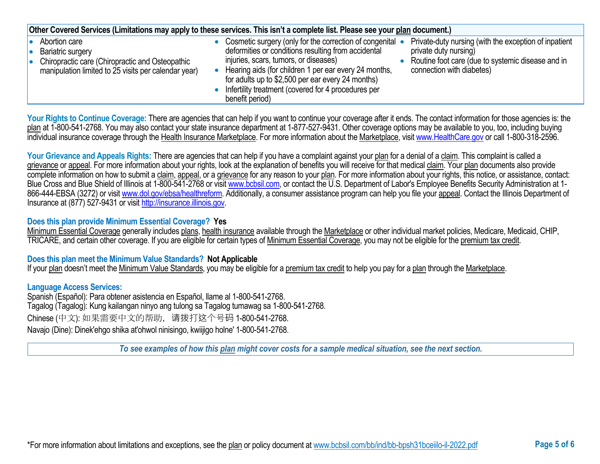| Other Covered Services (Limitations may apply to these services. This isn't a complete list. Please see your plan document.)                         |  |                                                                                                                                                                                                                                                                                                                                                   |  |                                                                                                                                                                  |  |
|------------------------------------------------------------------------------------------------------------------------------------------------------|--|---------------------------------------------------------------------------------------------------------------------------------------------------------------------------------------------------------------------------------------------------------------------------------------------------------------------------------------------------|--|------------------------------------------------------------------------------------------------------------------------------------------------------------------|--|
| Abortion care<br><b>Bariatric surgery</b><br>Chiropractic care (Chiropractic and Osteopathic<br>manipulation limited to 25 visits per calendar year) |  | Cosmetic surgery (only for the correction of congenital •<br>deformities or conditions resulting from accidental<br>injuries, scars, tumors, or diseases)<br>Hearing aids (for children 1 per ear every 24 months,<br>for adults up to \$2,500 per ear every 24 months)<br>Infertility treatment (covered for 4 procedures per<br>benefit period) |  | Private-duty nursing (with the exception of inpatient<br>private duty nursing)<br>Routine foot care (due to systemic disease and in<br>connection with diabetes) |  |

Your Rights to Continue Coverage: There are agencies that can help if you want to continue your coverage after it ends. The contact information for those agencies is: the plan at 1-800-541-2768. You may also contact your state insurance department at 1-877-527-9431. Other coverage options may be available to you, too, including buying individual insurance coverage through the Health Insurance Marketplace. For more information about the Marketplace, visi[t www.HealthCare.gov](http://www.healthcare.gov/) or call 1-800-318-2596.

Your Grievance and Appeals Rights: There are agencies that can help if you have a complaint against your plan for a denial of a claim. This complaint is called a grievance or appeal. For more information about your rights, look at the explanation of benefits you will receive for that medical claim. Your plan documents also provide complete information on how to submit a claim, appeal, or a grievance for any reason to your plan. For more information about your rights, this notice, or assistance, contact: Blue Cross and Blue Shield of Illinois at 1-800-541-2768 or visit [www.bcbsil.com,](http://www.bcbsil.com/) or contact the U.S. Department of Labor's Employee Benefits Security Administration at 1866-444-EBSA (3272) or visit [www.dol.gov/ebsa/healthreform.](http://www.dol.gov/ebsa/healthreform) Additionally, a consumer assistance program can help you file your appeal. Contact the Illinois Department of Insurance at (877) 527-9431 or visi[t http://insurance.illinois.gov.](http://insurance.illinois.gov/)

## **Does this plan provide Minimum Essential Coverage? Yes**

Minimum Essential Coverage generally includes plans, health insurance available through the Marketplace or other individual market policies, Medicare, Medicaid, CHIP, TRICARE, and certain other coverage. If you are eligible for certain types of Minimum Essential Coverage, you may not be eligible for the premium tax credit.

### **Does this plan meet the Minimum Value Standards? Not Applicable**

If your plan doesn't meet the Minimum Value Standards, you may be eligible for a premium tax credit to help you pay for a plan through the Marketplace.

### **Language Access Services:**

Spanish (Español): Para obtener asistencia en Español, llame al 1-800-541-2768. Tagalog (Tagalog): Kung kailangan ninyo ang tulong sa Tagalog tumawag sa 1-800-541-2768. Chinese (中文): 如果需要中文的帮助,请拨打这个号码 1-800-541-2768. Navajo (Dine): Dinek'ehgo shika at'ohwol ninisingo, kwiijigo holne' 1-800-541-2768.

*To see examples of how this plan might cover costs for a sample medical situation, see the next section.*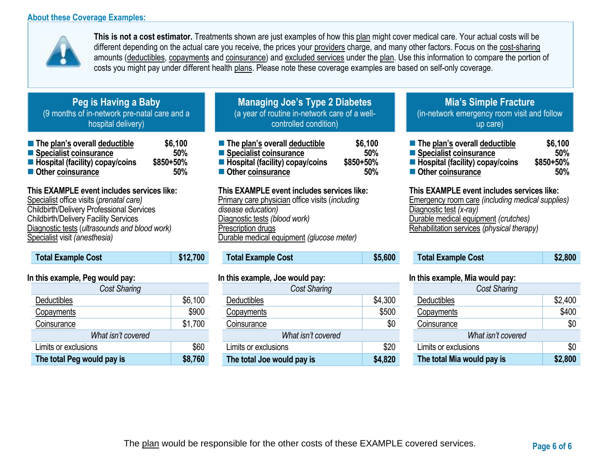## **About these Coverage Examples:**



**This is not a cost estimator.** Treatments shown are just examples of how this plan might cover medical care. Your actual costs will be different depending on the actual care you receive, the prices your providers charge, and many other factors. Focus on the cost-sharing amounts (deductibles, copayments and coinsurance) and excluded services under the plan. Use this information to compare the portion of costs you might pay under different health plans. Please note these coverage examples are based on self-only coverage.

# **Peg is Having a Baby** (9 months of in-network pre-natal care and a hospital delivery)

| ■ The plan's overall deductible   | \$6,100   |
|-----------------------------------|-----------|
| ■ Specialist coinsurance          | 50%       |
| ■ Hospital (facility) copay/coins | \$850+50% |
| Other coinsurance                 | 50%       |

# **This EXAMPLE event includes services like:**

Specialist office visits (*prenatal care)* Childbirth/Delivery Professional Services Childbirth/Delivery Facility Services Diagnostic tests (*ultrasounds and blood work)* Specialist visit *(anesthesia)* 

| <b>Total Example Cost</b> | \$12,700 |
|---------------------------|----------|
|                           |          |

## **In this example, Peg would pay:**

| <b>Cost Sharing</b>        |         |  |  |
|----------------------------|---------|--|--|
| Deductibles                | \$6,100 |  |  |
| Copayments                 | \$900   |  |  |
| Coinsurance                | \$1,700 |  |  |
| What isn't covered         |         |  |  |
| Limits or exclusions       | \$60    |  |  |
| The total Peg would pay is | \$8,760 |  |  |

# **Managing Joe's Type 2 Diabetes** (a year of routine in-network care of a wellcontrolled condition)

| The plan's overall deductible     | \$6,100   |
|-----------------------------------|-----------|
| Specialist coinsurance            | 50%       |
| ■ Hospital (facility) copay/coins | \$850+50% |
| ■ Other coinsurance               | 50%       |

## **This EXAMPLE event includes services like:**

Primary care physician office visits (*including disease education)* Diagnostic tests *(blood work)* Prescription drugs Durable medical equipment *(glucose meter)* 

# **Total Example Cost \$5,600**

## **In this example, Joe would pay:**

| Cost Sharing                 |         |  |  |  |
|------------------------------|---------|--|--|--|
| Deductibles                  | \$4,300 |  |  |  |
| Copayments                   | \$500   |  |  |  |
| Coinsurance                  | \$0     |  |  |  |
| What isn't covered           |         |  |  |  |
| \$20<br>Limits or exclusions |         |  |  |  |
| The total Joe would pay is   | \$4,820 |  |  |  |

# **Mia's Simple Fracture** (in-network emergency room visit and follow up care)

| ■ The plan's overall deductible   | \$6,100   |
|-----------------------------------|-----------|
| ■ Specialist coinsurance          | 50%       |
| ■ Hospital (facility) copay/coins | \$850+50% |
| Other coinsurance                 | 50%       |

### **This EXAMPLE event includes services like:**

Emergency room care *(including medical supplies)* Diagnostic test *(x-ray)* Durable medical equipment *(crutches)* Rehabilitation services *(physical therapy)*

| <b>Total Example Cost</b> | \$2,800 |
|---------------------------|---------|
|---------------------------|---------|

### **In this example, Mia would pay:**

| <b>Cost Sharing</b>        |         |  |
|----------------------------|---------|--|
| Deductibles                | \$2,400 |  |
| Copayments                 | \$400   |  |
| Coinsurance                | \$0     |  |
| What isn't covered         |         |  |
| Limits or exclusions       | \$0     |  |
| The total Mia would pay is | \$2,800 |  |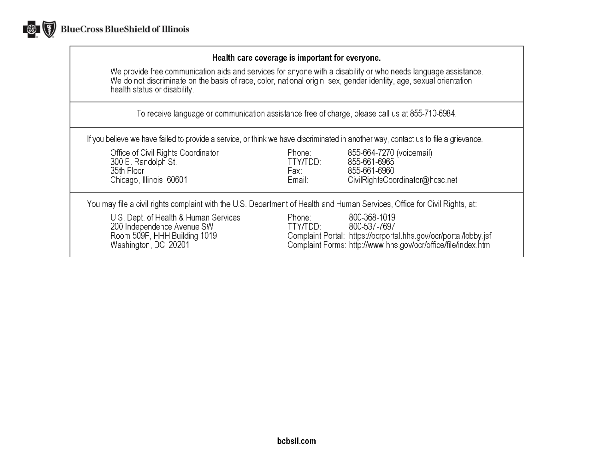

## Health care coverage is important for everyone.

We provide free communication aids and services for anyone with a disability or who needs language assistance.<br>We do not discriminate on the basis of race, color, national origin, sex, gender identity, age, sexual orientat health status or disability.

To receive language or communication assistance free of charge, please call us at 855-710-6984.

If you believe we have failed to provide a service, or think we have discriminated in another way, contact us to file a grievance.

| Office of Civil Rights Coordinator<br>300 E. Randolph St.<br>35th Floor<br>Chicago, Illinois 60601                          | Phone:<br>TTY/TDD:<br>Fax:<br>Email: | 855-664-7270 (voicemail)<br>855-661-6965<br>855-661-6960<br>CivilRightsCoordinator@hcsc.net                                                                        |
|-----------------------------------------------------------------------------------------------------------------------------|--------------------------------------|--------------------------------------------------------------------------------------------------------------------------------------------------------------------|
| You may file a civil rights complaint with the U.S. Department of Health and Human Services, Office for Civil Rights, at:   |                                      |                                                                                                                                                                    |
| U.S. Dept. of Health & Human Services<br>200 Independence Avenue SW<br>Room 509F, HHH Building 1019<br>Washington, DC 20201 | Phone:<br>TTY/TDD:                   | 800-368-1019<br>800-537-7697<br>Complaint Portal: https://ocrportal.hhs.gov/ocr/portal/lobby.jsf<br>Complaint Forms: http://www.hhs.gov/ocr/office/file/index.html |